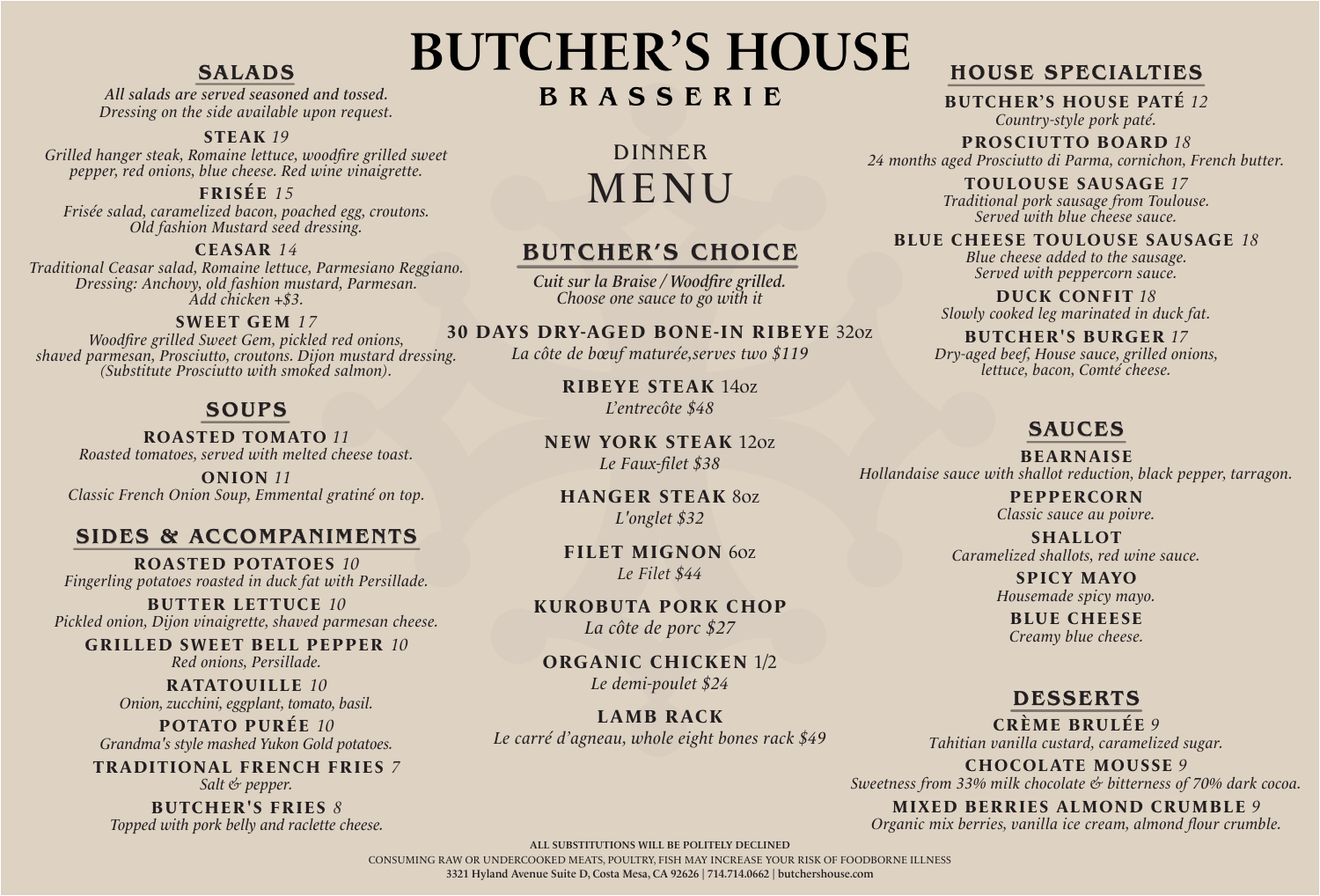## SALADS

All salads are served seasoned and tossed. Dressing on the side available upon request.

#### **STEAK** *19*

Grilled hanger steak, Romaine lettuce, woodfire grilled sweet pepper, red onions, blue cheese. Red wine vinaigrette.

#### **FRISÉE** *15*

Frisée salad, caramelized bacon, poached egg, croutons. Old fashion Mustard seed dressing.

**CEASAR** *14*

Traditional Ceasar salad, Romaine lettuce, Parmesiano Reggiano. Dressing: Anchovy, old fashion mustard, Parmesan. Add chicken +\$3.

**SWEET GEM** *17* Woodfire grilled Sweet Gem, pickled red onions, shaved parmesan, Prosciutto, croutons. Dijon mustard dressing. (Substitute Prosciutto with smoked salmon).

## SOUPS

**ROASTED TOMATO** *11* Roasted tomatoes, served with melted cheese toast.

**ONION** *11* Classic French Onion Soup, Emmental gratiné on top.

#### SIDES & ACCOMPANIMENTS

**ROASTED POTATOES** *10* Fingerling potatoes roasted in duck fat with Persillade.

**BUTTER LETTUCE** *10* Pickled onion, Dijon vinaigrette, shaved parmesan cheese.

**GRILLED SWEET BELL PEPPER** *10* Red onions, Persillade.

> **RATATOUILLE** *10* Onion, zucchini, eggplant, tomato, basil.

**POTATO PURÉE** *10* Grandma's style mashed Yukon Gold potatoes.

**TRADITIONAL FRENCH FRIES** *7* Salt & pepper.

**BUTCHER'S FRIES** *8* Topped with pork belly and raclette cheese. **BUTCHER'S HOUSE** 

# BRASSERIE

DINNER MENU

# BUTCHER'S CHOICE

Cuit sur la Braise / Woodfire grilled. Choose one sauce to go with it

#### **30 DAYS DRY-AGED BONE-IN RIBEYE** 32oz

La côte de bœuf maturée, serves two \$119

**RIBEYE STEAK** 14oz L'entrecôte \$48

**NEW YORK STEAK** 12oz Le Faux-filet \$38

**HANGER STEAK** 8oz L'onglet \$32

**FILET MIGNON** 6oz *Le Filet* \$44

**KUROBUTA PORK CHOP** La côte de porc \$27

**ORGANIC CHICKEN** 1/2 Le demi-poulet \$24

**LAMB RACK**  Le carré d'agneau, whole eight bones rack \$49

# HOUSE SPECIALTIES

**BUTCHER'S HOUSE PATÉ** *12* Country-style pork paté.

**PROSCIUTTO BOARD** *18* 24 months aged Prosciutto di Parma, cornichon, French butter.

> **TOULOUSE SAUSAGE** *17* Traditional pork sausage from Toulouse. Served with blue cheese sauce.

**BLUE CHEESE TOULOUSE SAUSAGE** *18* 

Blue cheese added to the sausage. Served with peppercorn sauce.

**DUCK CONFIT** *18* Slowly cooked leg marinated in duck fat.

**BUTCHER'S BURGER** *17* Dry-aged beef, House sauce, grilled onions, lettuce, bacon, Comté cheese.

## SAUCES

**BEARNAISE** Hollandaise sauce with shallot reduction, black pepper, tarragon.

> **PEPPERCORN** Classic sauce au poivre.

**SHALLOT** Caramelized shallots, red wine sauce.

> **SPICY MAYO** Housemade spicy mayo.

**BLUE CHEESE** Creamy blue cheese.

## DESSERTS

**CRÈME BRULÉE** *9* Tahitian vanilla custard, caramelized sugar.

**CHOCOLATE MOUSSE** *9* Sweetness from 33% milk chocolate & bitterness of 70% dark cocoa.

**MIXED BERRIES ALMOND CRUMBLE** *9* Organic mix berries, vanilla ice cream, almond flour crumble.

ALL SUBSTITUTIONS WILL BE POLITELY DECLINED

CONSUMING RAW OR UNDERCOOKED MEATS, POULTRY, FISH MAY INCREASE YOUR RISK OF FOODBORNE ILLNESS 3321 Hyland Avenue Suite D, Costa Mesa, CA 92626 | 714.714.0662 | butchershouse.com